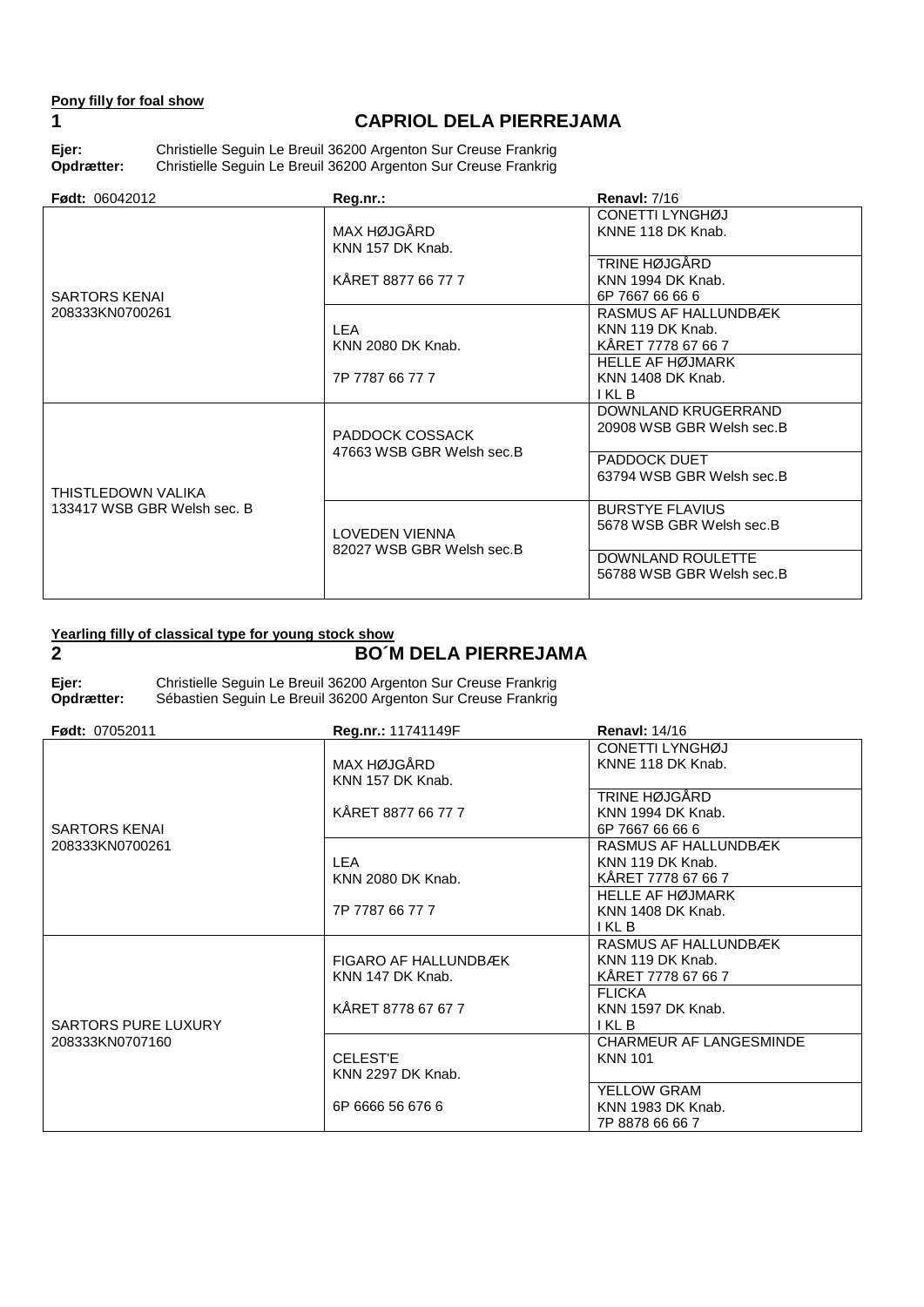## **Pony filly for foal show**

# **1 CAPRIOL DELA PIERREJAMA**

**Ejer:** Christielle Seguin Le Breuil 36200 Argenton Sur Creuse Frankrig **Opdrætter:** Christielle Seguin Le Breuil 36200 Argenton Sur Creuse Frankrig

| <b>Født: 06042012</b>                             | Reg.nr.:                                     | <b>Renavl: 7/16</b>                                            |
|---------------------------------------------------|----------------------------------------------|----------------------------------------------------------------|
| <b>SARTORS KENAL</b><br>208333KN0700261           | MAX HØJGÅRD<br>KNN 157 DK Knab.              | CONETTI LYNGHØJ<br>KNNE 118 DK Knab.                           |
|                                                   | KÅRET 8877 66 77 7                           | TRINE HØJGÅRD<br>KNN 1994 DK Knab.<br>6P 7667 66 66 6          |
|                                                   | <b>LEA</b><br>KNN 2080 DK Knab.              | RASMUS AF HALLUNDBÆK<br>KNN 119 DK Knab.<br>KÅRET 7778 67 66 7 |
|                                                   | 7P 7787 66 77 7                              | <b>HELLE AF HØJMARK</b><br>KNN 1408 DK Knab.<br>I KL B         |
|                                                   | PADDOCK COSSACK<br>47663 WSB GBR Welsh sec.B | DOWNLAND KRUGERRAND<br>20908 WSB GBR Welsh sec.B               |
| THISTLEDOWN VALIKA<br>133417 WSB GBR Welsh sec. B |                                              | PADDOCK DUET<br>63794 WSB GBR Welsh sec.B                      |
|                                                   | LOVEDEN VIENNA<br>82027 WSB GBR Welsh sec.B  | <b>BURSTYE FLAVIUS</b><br>5678 WSB GBR Welsh sec.B             |
|                                                   |                                              | DOWNLAND ROULETTE<br>56788 WSB GBR Welsh sec.B                 |

### **Yearling filly of classical type for young stock show**

# **2 BO´M DELA PIERREJAMA**

**Ejer:** Christielle Seguin Le Breuil 36200 Argenton Sur Creuse Frankrig Sébastien Seguin Le Breuil 36200 Argenton Sur Creuse Frankrig

| <b>Født: 07052011</b> | Reg.nr.: 11741149F                       | <b>Renavl: 14/16</b>                                           |
|-----------------------|------------------------------------------|----------------------------------------------------------------|
| <b>SARTORS KENAL</b>  | MAX HØJGÅRD<br>KNN 157 DK Knab.          | CONETTI LYNGHØJ<br>KNNE 118 DK Knab.                           |
|                       | KÅRET 8877 66 77 7                       | TRINE HØJGÅRD<br>KNN 1994 DK Knab.<br>6P 7667 66 66 6          |
| 208333KN0700261       | LEA<br>KNN 2080 DK Knab.                 | RASMUS AF HALLUNDBÆK<br>KNN 119 DK Knab.<br>KÅRET 7778 67 66 7 |
|                       | 7P 7787 66 77 7                          | <b>HELLE AF HØJMARK</b><br>KNN 1408 DK Knab.<br>I KL B         |
|                       | FIGARO AF HALLUNDBÆK<br>KNN 147 DK Knab. | RASMUS AF HALLUNDBÆK<br>KNN 119 DK Knab.<br>KÅRET 7778 67 66 7 |
| SARTORS PURE LUXURY   | KÅRET 8778 67 67 7                       | <b>FLICKA</b><br>KNN 1597 DK Knab.<br>I KL B                   |
| 208333KN0707160       | <b>CELEST'E</b><br>KNN 2297 DK Knab.     | <b>CHARMEUR AF LANGESMINDE</b><br><b>KNN 101</b>               |
|                       | 6P 6666 56 676 6                         | YELLOW GRAM<br>KNN 1983 DK Knab.<br>7P 8878 66 66 7            |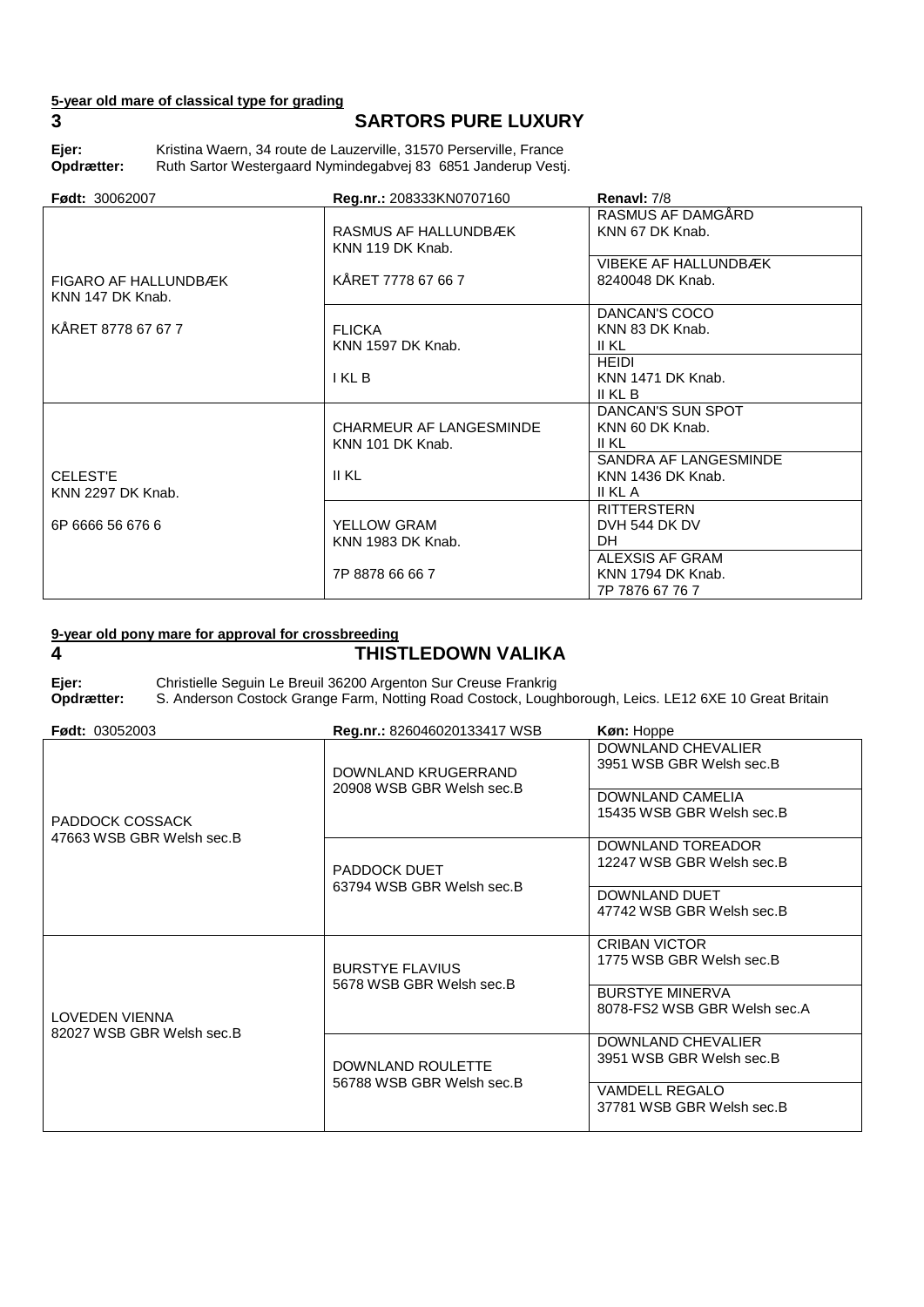# **5-year old mare of classical type for grading**

# **3 SARTORS PURE LUXURY**

Ejer: Kristina Waern, 34 route de Lauzerville, 31570 Perserville, France<br>**Opdrætter:** Ruth Sartor Westergaard Nymindegabvej 83 6851 Janderup Vest Ruth Sartor Westergaard Nymindegabvej 83 6851 Janderup Vestj.

| <b>Født: 30062007</b> | Reg.nr.: 208333KN0707160 | Renavl: 7/8                 |
|-----------------------|--------------------------|-----------------------------|
|                       |                          | RASMUS AF DAMGÅRD           |
|                       | RASMUS AF HALLUNDBÆK     | KNN 67 DK Knab.             |
|                       | KNN 119 DK Knab.         |                             |
|                       |                          | <b>VIBEKE AF HALLUNDBÆK</b> |
| FIGARO AF HALLUNDBÆK  | KÅRET 7778 67 66 7       | 8240048 DK Knab.            |
| KNN 147 DK Knab.      |                          |                             |
|                       |                          | DANCAN'S COCO               |
| KÅRET 8778 67 67 7    | <b>FLICKA</b>            | KNN 83 DK Knab.             |
|                       | KNN 1597 DK Knab.        | II KL                       |
|                       |                          | <b>HEIDI</b>                |
|                       | I KL B                   | KNN 1471 DK Knab.           |
|                       |                          | II KL B                     |
|                       |                          | DANCAN'S SUN SPOT           |
|                       | CHARMEUR AF LANGESMINDE  | KNN 60 DK Knab.             |
|                       | KNN 101 DK Knab.         | II KL                       |
|                       |                          | SANDRA AF LANGESMINDE       |
| <b>CELEST'E</b>       | <b>II KL</b>             | KNN 1436 DK Knab.           |
| KNN 2297 DK Knab.     |                          | II KL A                     |
|                       |                          | <b>RITTERSTERN</b>          |
| 6P 6666 56 676 6      | YELLOW GRAM              | DVH 544 DK DV               |
|                       | KNN 1983 DK Knab.        | DH.                         |
|                       |                          | ALEXSIS AF GRAM             |
|                       | 7P 8878 66 66 7          | KNN 1794 DK Knab.           |
|                       |                          | 7P 7876 67 76 7             |

#### **9-year old pony mare for approval for crossbreeding**

# **4 THISTLEDOWN VALIKA**

**Ejer:** Christielle Seguin Le Breuil 36200 Argenton Sur Creuse Frankrig S. Anderson Costock Grange Farm, Notting Road Costock, Loughborough, Leics. LE12 6XE 10 Great Britain

| <b>Født: 03052003</b>                              | Reg.nr.: 826046020133417 WSB                       | Køn: Hoppe                                             |
|----------------------------------------------------|----------------------------------------------------|--------------------------------------------------------|
| PADDOCK COSSACK<br>47663 WSB GBR Welsh sec.B       | DOWNLAND KRUGERRAND<br>20908 WSB GBR Welsh sec.B   | DOWNLAND CHEVALIER<br>3951 WSB GBR Welsh sec.B         |
|                                                    |                                                    | DOWNLAND CAMELIA<br>15435 WSB GBR Welsh sec.B          |
|                                                    | PADDOCK DUET<br>63794 WSB GBR Welsh sec.B          | DOWNLAND TOREADOR<br>12247 WSB GBR Welsh sec.B         |
|                                                    |                                                    | DOWNLAND DUET<br>47742 WSB GBR Welsh sec.B             |
|                                                    | <b>BURSTYE FLAVIUS</b><br>5678 WSB GBR Welsh sec.B | <b>CRIBAN VICTOR</b><br>1775 WSB GBR Welsh sec.B       |
| <b>LOVEDEN VIENNA</b><br>82027 WSB GBR Welsh sec.B |                                                    | <b>BURSTYE MINERVA</b><br>8078-FS2 WSB GBR Welsh sec.A |
|                                                    | DOWNLAND ROULETTE<br>56788 WSB GBR Welsh sec.B     | DOWNLAND CHEVALIER<br>3951 WSB GBR Welsh sec.B         |
|                                                    |                                                    | <b>VAMDELL REGALO</b><br>37781 WSB GBR Welsh sec.B     |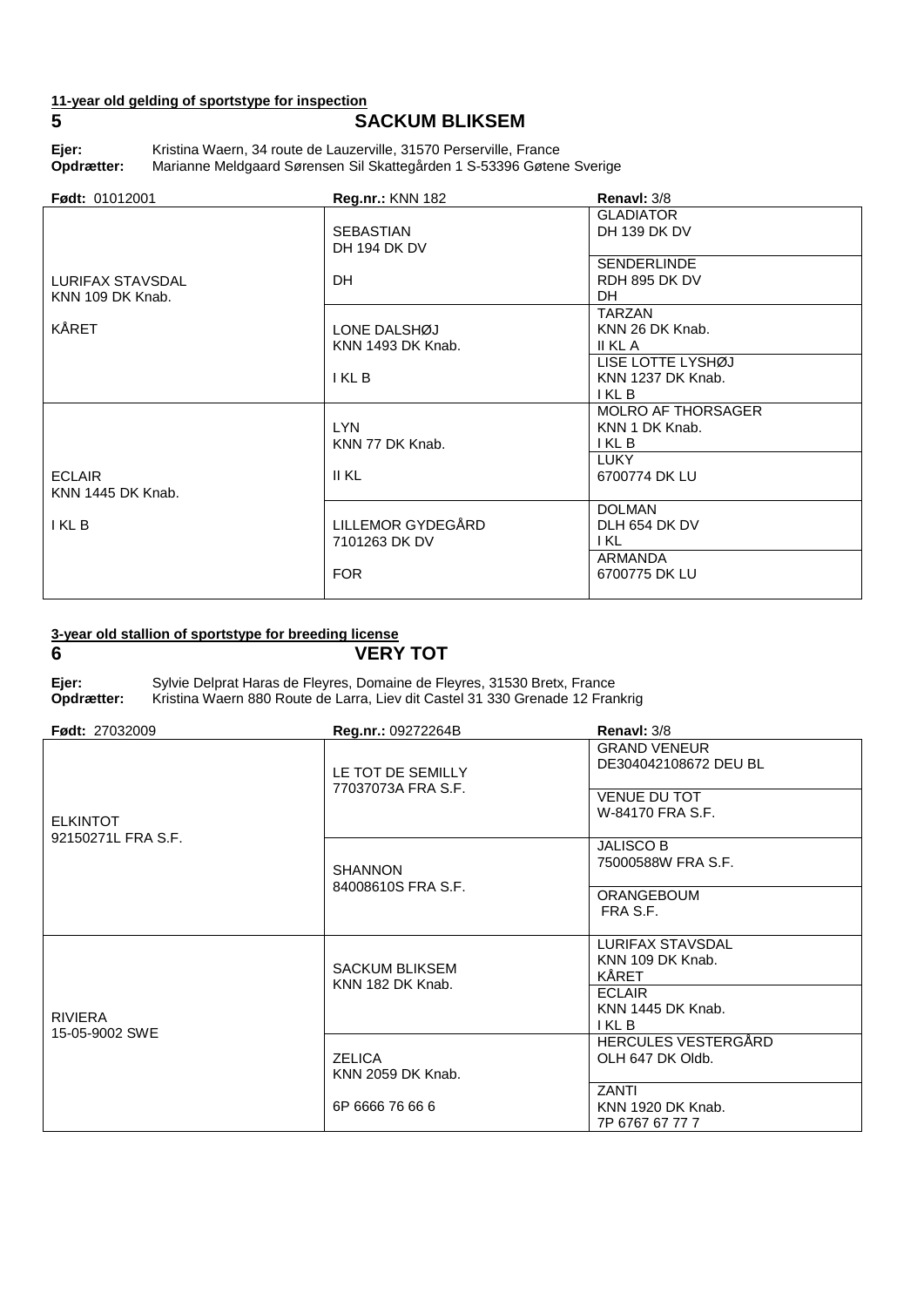# **11-year old gelding of sportstype for inspection**

# **5 SACKUM BLIKSEM**

Ejer: Kristina Waern, 34 route de Lauzerville, 31570 Perserville, France<br>**Opdrætter:** Marianne Meldgaard Sørensen Sil Skattegården 1 S-53396 Gøten **Opdrætter:** Marianne Meldgaard Sørensen Sil Skattegården 1 S-53396 Gøtene Sverige

| <b>Født: 01012001</b>                | <b>Reg.nr.: KNN 182</b>            | Renavl: 3/8                                                   |
|--------------------------------------|------------------------------------|---------------------------------------------------------------|
|                                      | <b>SEBASTIAN</b><br>DH 194 DK DV   | <b>GLADIATOR</b><br>DH 139 DK DV                              |
| LURIFAX STAVSDAL<br>KNN 109 DK Knab. | DH.                                | <b>SENDERLINDE</b><br>RDH 895 DK DV<br>DH.                    |
| KÅRET                                | LONE DALSHØJ<br>KNN 1493 DK Knab.  | <b>TARZAN</b><br>KNN 26 DK Knab.<br>II KL A                   |
|                                      | I KL B                             | LISE LOTTE LYSHØJ<br>KNN 1237 DK Knab.<br>I KL B              |
|                                      | LYN.<br>KNN 77 DK Knab.            | <b>MOLRO AF THORSAGER</b><br>KNN 1 DK Knab.<br>I KL B<br>LUKY |
| <b>ECLAIR</b><br>KNN 1445 DK Knab.   | II KL                              | 6700774 DK LU                                                 |
| I KL B                               | LILLEMOR GYDEGÅRD<br>7101263 DK DV | <b>DOLMAN</b><br>DLH 654 DK DV<br>I KL                        |
|                                      | <b>FOR</b>                         | ARMANDA<br>6700775 DK LU                                      |

### **3-year old stallion of sportstype for breeding license**

**6 VERY TOT**

**Ejer:** Sylvie Delprat Haras de Fleyres, Domaine de Fleyres, 31530 Bretx, France Kristina Waern 880 Route de Larra, Liev dit Castel 31 330 Grenade 12 Frankrig

| <b>Født: 27032009</b>                 | Reg.nr.: 09272264B                        | Renavl: 3/8                                                                             |
|---------------------------------------|-------------------------------------------|-----------------------------------------------------------------------------------------|
| <b>ELKINTOT</b><br>92150271L FRA S.F. | LE TOT DE SEMILLY<br>77037073A FRA S.F.   | <b>GRAND VENEUR</b><br>DE304042108672 DEU BL<br><b>VENUE DU TOT</b><br>W-84170 FRA S.F. |
|                                       | <b>SHANNON</b><br>84008610S FRA S.F.      | <b>JALISCO B</b><br>75000588W FRA S.F.                                                  |
|                                       |                                           | <b>ORANGEBOUM</b><br>FRA S.F.                                                           |
|                                       | <b>SACKUM BLIKSEM</b><br>KNN 182 DK Knab. | <b>LURIFAX STAVSDAL</b><br>KNN 109 DK Knab.<br>KÅRET                                    |
| <b>RIVIERA</b><br>15-05-9002 SWE      |                                           | <b>ECLAIR</b><br>KNN 1445 DK Knab.<br>I KL B                                            |
|                                       | <b>ZELICA</b><br><b>KNN 2059 DK Knab.</b> | HERCULES VESTERGÅRD<br>OLH 647 DK Oldb.                                                 |
|                                       | 6P 6666 76 66 6                           | <b>ZANTI</b><br>KNN 1920 DK Knab.<br>7P 6767 67 77 7                                    |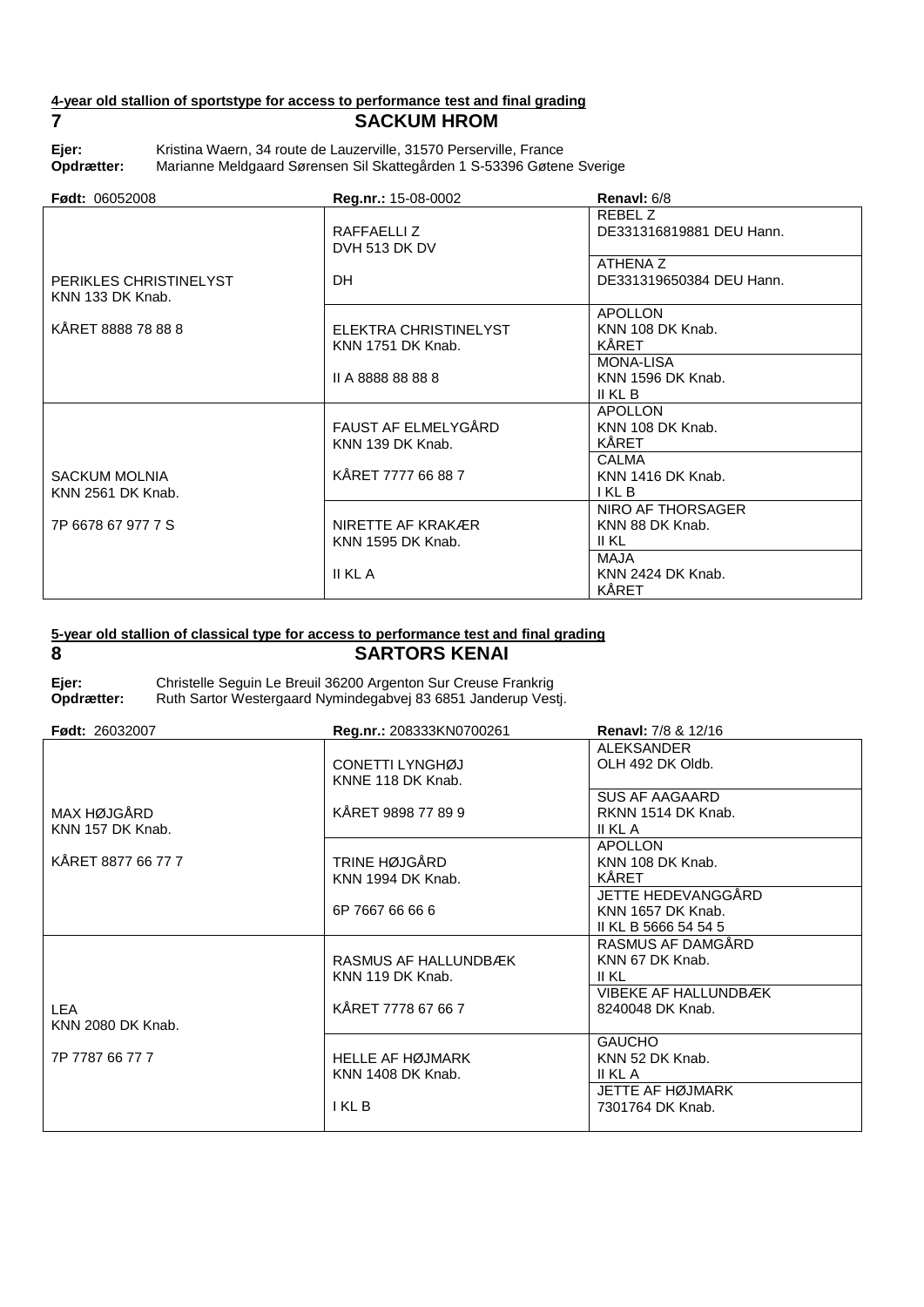# **4-year old stallion of sportstype for access to performance test and final grading 7 SACKUM HROM**

Ejer: Kristina Waern, 34 route de Lauzerville, 31570 Perserville, France<br>**Opdrætter:** Marianne Meldgaard Sørensen Sil Skattegården 1 S-53396 Gøten **Opdrætter:** Marianne Meldgaard Sørensen Sil Skattegården 1 S-53396 Gøtene Sverige

| <b>Født: 06052008</b>                      | Reg.nr.: 15-08-0002                           | Renavl: 6/8                                      |
|--------------------------------------------|-----------------------------------------------|--------------------------------------------------|
|                                            | RAFFAELLIZ<br>DVH 513 DK DV                   | REBEL Z<br>DE331316819881 DEU Hann.              |
| PERIKLES CHRISTINELYST<br>KNN 133 DK Knab. | DH.                                           | ATHENA Z<br>DE331319650384 DEU Hann.             |
| KÅRET 8888 78 88 8                         | ELEKTRA CHRISTINELYST<br>KNN 1751 DK Knab.    | <b>APOLLON</b><br>KNN 108 DK Knab.<br>KÅRET      |
|                                            | II A 8888 88 88 8                             | <b>MONA-LISA</b><br>KNN 1596 DK Knab.<br>II KL B |
|                                            | FAUST AF ELMELYGÅRD<br>KNN 139 DK Knab.       | <b>APOLLON</b><br>KNN 108 DK Knab.<br>KÅRET      |
| <b>SACKUM MOLNIA</b><br>KNN 2561 DK Knab.  | KÅRET 7777 66 88 7                            | <b>CALMA</b><br>KNN 1416 DK Knab.<br>I KL B      |
| 7P 6678 67 977 7 S                         | NIRETTE AF KRAKÆR<br><b>KNN 1595 DK Knab.</b> | NIRO AF THORSAGER<br>KNN 88 DK Knab.<br>II KL    |
|                                            | II KL A                                       | MAJA<br>KNN 2424 DK Knab.<br>KÅRET               |

## **5-year old stallion of classical type for access to performance test and final grading 8 SARTORS KENAI**

| ×<br>ŗ, |          |        |
|---------|----------|--------|
|         |          |        |
| ×       | ۰.<br>۰. | I<br>ł |

**Ejer:** Christelle Seguin Le Breuil 36200 Argenton Sur Creuse Frankrig Ruth Sartor Westergaard Nymindegabvej 83 6851 Janderup Vestj.

| <b>Født: 26032007</b>           | Reg.nr.: 208333KN0700261                     | <b>Renavi: 7/8 &amp; 12/16</b>                                  |
|---------------------------------|----------------------------------------------|-----------------------------------------------------------------|
|                                 | CONETTI LYNGHØJ<br>KNNE 118 DK Knab.         | <b>ALEKSANDER</b><br>OLH 492 DK Oldb.                           |
| MAX HØJGÅRD<br>KNN 157 DK Knab. | KÅRET 9898 77 89 9                           | SUS AF AAGAARD<br>RKNN 1514 DK Knab.<br>II KL A                 |
| KÅRET 8877 66 77 7              | TRINE HØJGÅRD<br>KNN 1994 DK Knab.           | <b>APOLLON</b><br>KNN 108 DK Knab.<br>KÅRET                     |
|                                 | 6P 7667 66 66 6                              | JETTE HEDEVANGGÅRD<br>KNN 1657 DK Knab.<br>II KL B 5666 54 54 5 |
|                                 | RASMUS AF HALLUNDBÆK<br>KNN 119 DK Knab.     | RASMUS AF DAMGÅRD<br>KNN 67 DK Knab.<br>II KL                   |
| <b>LEA</b><br>KNN 2080 DK Knab. | KÅRET 7778 67 66 7                           | <b>VIBEKE AF HALLUNDBÆK</b><br>8240048 DK Knab.                 |
| 7P 7787 66 77 7                 | <b>HELLE AF HØJMARK</b><br>KNN 1408 DK Knab. | <b>GAUCHO</b><br>KNN 52 DK Knab.<br>II KL A                     |
|                                 | I KL B                                       | JETTE AF HØJMARK<br>7301764 DK Knab.                            |